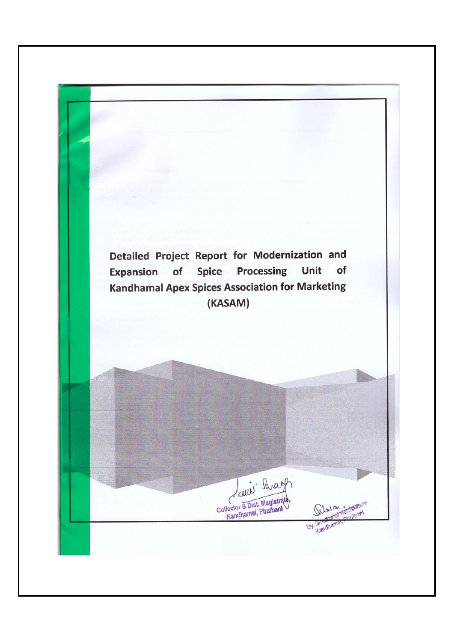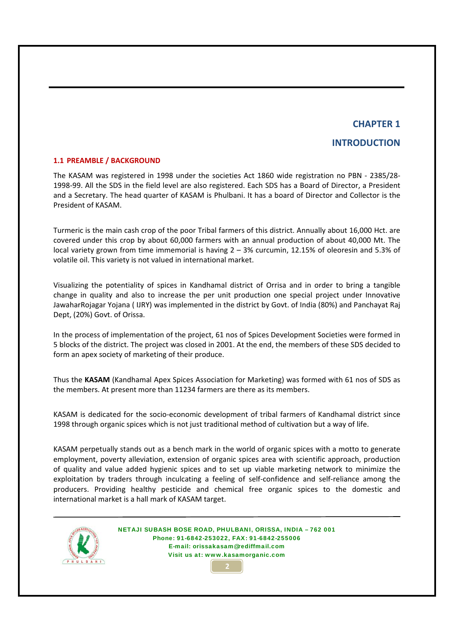## **INTRODUCTION**

#### **1.1 PREAMBLE / BACKGROUND**

The KASAM was registered in 1998 under the societies Act 1860 wide registration no PBN ‐ 2385/28‐ 1998‐99. All the SDS in the field level are also registered. Each SDS has a Board of Director, a President and a Secretary. The head quarter of KASAM is Phulbani. It has a board of Director and Collector is the President of KASAM.

Turmeric is the main cash crop of the poor Tribal farmers of this district. Annually about 16,000 Hct. are covered under this crop by about 60,000 farmers with an annual production of about 40,000 Mt. The local variety grown from time immemorial is having 2 – 3% curcumin, 12.15% of oleoresin and 5.3% of volatile oil. This variety is not valued in international market.

Visualizing the potentiality of spices in Kandhamal district of Orrisa and in order to bring a tangible change in quality and also to increase the per unit production one special project under Innovative JawaharRojagar Yojana ( IJRY) was implemented in the district by Govt. of India (80%) and Panchayat Raj Dept, (20%) Govt. of Orissa.

In the process of implementation of the project, 61 nos of Spices Development Societies were formed in 5 blocks of the district. The project was closed in 2001. At the end, the members of these SDS decided to form an apex society of marketing of their produce.

Thus the **KASAM** (Kandhamal Apex Spices Association for Marketing) was formed with 61 nos of SDS as the members. At present more than 11234 farmers are there as its members.

KASAM is dedicated for the socio‐economic development of tribal farmers of Kandhamal district since 1998 through organic spices which is not just traditional method of cultivation but a way of life.

KASAM perpetually stands out as a bench mark in the world of organic spices with a motto to generate employment, poverty alleviation, extension of organic spices area with scientific approach, production of quality and value added hygienic spices and to set up viable marketing network to minimize the exploitation by traders through inculcating a feeling of self-confidence and self-reliance among the producers. Providing healthy pesticide and chemical free organic spices to the domestic and international market is a hall mark of KASAM target.

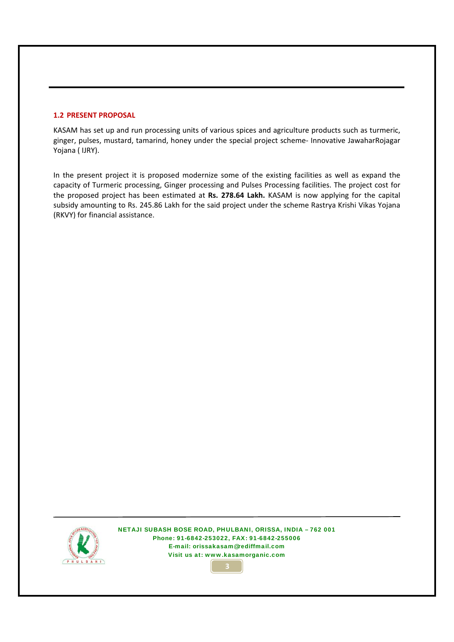#### **1.2 PRESENT PROPOSAL**

KASAM has set up and run processing units of various spices and agriculture products such as turmeric, ginger, pulses, mustard, tamarind, honey under the special project scheme‐ Innovative JawaharRojagar Yojana ( IJRY).

In the present project it is proposed modernize some of the existing facilities as well as expand the capacity of Turmeric processing, Ginger processing and Pulses Processing facilities. The project cost for the proposed project has been estimated at **Rs. 278.64 Lakh.** KASAM is now applying for the capital subsidy amounting to Rs. 245.86 Lakh for the said project under the scheme Rastrya Krishi Vikas Yojana (RKVY) for financial assistance.



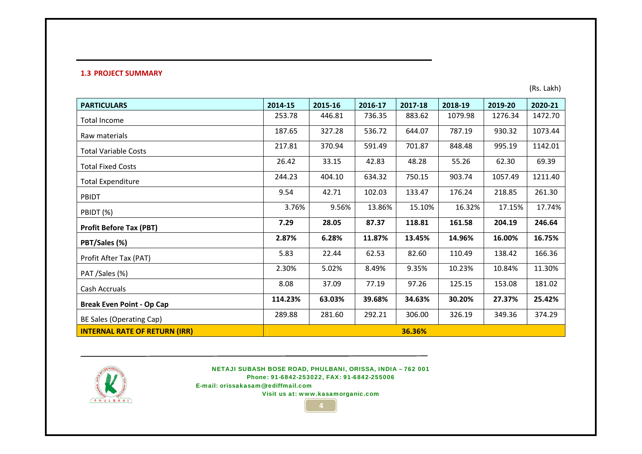#### **1.3 PROJECT SUMMARY**

(Rs. Lakh)

| <b>PARTICULARS</b>                   | 2014-15 | 2015-16 | 2016-17 | 2017-18 | 2018-19 | 2019-20 | 2020-21 |
|--------------------------------------|---------|---------|---------|---------|---------|---------|---------|
| <b>Total Income</b>                  | 253.78  | 446.81  | 736.35  | 883.62  | 1079.98 | 1276.34 | 1472.70 |
| Raw materials                        | 187.65  | 327.28  | 536.72  | 644.07  | 787.19  | 930.32  | 1073.44 |
| <b>Total Variable Costs</b>          | 217.81  | 370.94  | 591.49  | 701.87  | 848.48  | 995.19  | 1142.01 |
| <b>Total Fixed Costs</b>             | 26.42   | 33.15   | 42.83   | 48.28   | 55.26   | 62.30   | 69.39   |
| <b>Total Expenditure</b>             | 244.23  | 404.10  | 634.32  | 750.15  | 903.74  | 1057.49 | 1211.40 |
| PBIDT                                | 9.54    | 42.71   | 102.03  | 133.47  | 176.24  | 218.85  | 261.30  |
| PBIDT (%)                            | 3.76%   | 9.56%   | 13.86%  | 15.10%  | 16.32%  | 17.15%  | 17.74%  |
| <b>Profit Before Tax (PBT)</b>       | 7.29    | 28.05   | 87.37   | 118.81  | 161.58  | 204.19  | 246.64  |
| PBT/Sales (%)                        | 2.87%   | 6.28%   | 11.87%  | 13.45%  | 14.96%  | 16.00%  | 16.75%  |
| Profit After Tax (PAT)               | 5.83    | 22.44   | 62.53   | 82.60   | 110.49  | 138.42  | 166.36  |
| PAT /Sales (%)                       | 2.30%   | 5.02%   | 8.49%   | 9.35%   | 10.23%  | 10.84%  | 11.30%  |
| Cash Accruals                        | 8.08    | 37.09   | 77.19   | 97.26   | 125.15  | 153.08  | 181.02  |
| <b>Break Even Point - Op Cap</b>     | 114.23% | 63.03%  | 39.68%  | 34.63%  | 30.20%  | 27.37%  | 25.42%  |
| BE Sales (Operating Cap)             | 289.88  | 281.60  | 292.21  | 306.00  | 326.19  | 349.36  | 374.29  |
| <b>INTERNAL RATE OF RETURN (IRR)</b> |         |         |         | 36.36%  |         |         |         |



NETAJI SUBASH BOSE ROAD, PHULBANI, ORISSA, INDIA – 762 001 Phone: 91-6842-253022, FAX: 91-6842-255006

**4**

E-mail: orissakasam@rediffmail.com

Visit us at: www.kasamorganic.com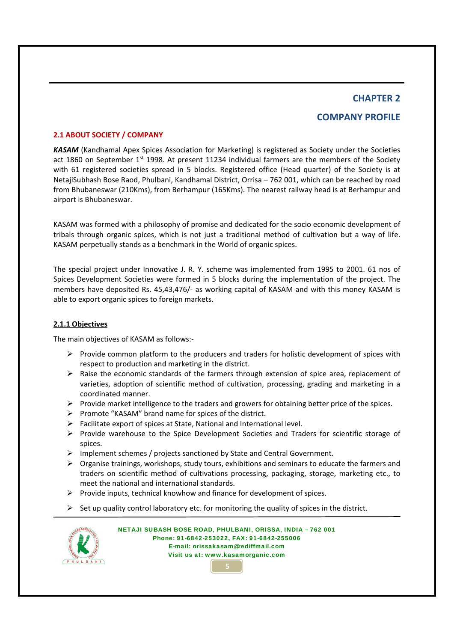## **COMPANY PROFILE**

#### **2.1 ABOUT SOCIETY / COMPANY**

*KASAM* (Kandhamal Apex Spices Association for Marketing) is registered as Society under the Societies act 1860 on September 1<sup>st</sup> 1998. At present 11234 individual farmers are the members of the Society with 61 registered societies spread in 5 blocks. Registered office (Head quarter) of the Society is at NetajiSubhash Bose Raod, Phulbani, Kandhamal District, Orrisa – 762 001, which can be reached by road from Bhubaneswar (210Kms), from Berhampur (165Kms). The nearest railway head is at Berhampur and airport is Bhubaneswar.

KASAM was formed with a philosophy of promise and dedicated for the socio economic development of tribals through organic spices, which is not just a traditional method of cultivation but a way of life. KASAM perpetually stands as a benchmark in the World of organic spices.

The special project under Innovative J. R. Y. scheme was implemented from 1995 to 2001. 61 nos of Spices Development Societies were formed in 5 blocks during the implementation of the project. The members have deposited Rs. 45,43,476/‐ as working capital of KASAM and with this money KASAM is able to export organic spices to foreign markets.

#### **2.1.1 Objectives**

The main objectives of KASAM as follows:‐

- $\triangleright$  Provide common platform to the producers and traders for holistic development of spices with respect to production and marketing in the district.
- $\triangleright$  Raise the economic standards of the farmers through extension of spice area, replacement of varieties, adoption of scientific method of cultivation, processing, grading and marketing in a coordinated manner.
- ¾ Provide market intelligence to the traders and growers for obtaining better price of the spices.
- $\triangleright$  Promote "KASAM" brand name for spices of the district.
- $\triangleright$  Facilitate export of spices at State, National and International level.
- ¾ Provide warehouse to the Spice Development Societies and Traders for scientific storage of spices.
- ¾ Implement schemes / projects sanctioned by State and Central Government.
- ¾ Organise trainings, workshops, study tours, exhibitions and seminars to educate the farmers and traders on scientific method of cultivations processing, packaging, storage, marketing etc., to meet the national and international standards.
- $\triangleright$  Provide inputs, technical knowhow and finance for development of spices.
- $\triangleright$  Set up quality control laboratory etc. for monitoring the quality of spices in the district.

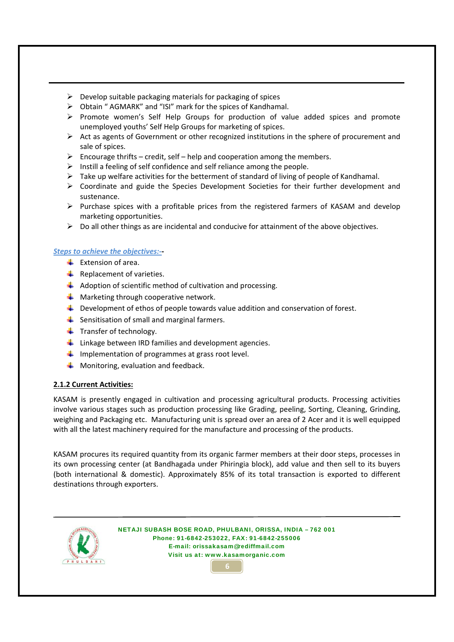- $\triangleright$  Develop suitable packaging materials for packaging of spices
- ¾ Obtain " AGMARK" and "ISI" mark for the spices of Kandhamal.
- $\triangleright$  Promote women's Self Help Groups for production of value added spices and promote unemployed youths' Self Help Groups for marketing of spices.
- $\triangleright$  Act as agents of Government or other recognized institutions in the sphere of procurement and sale of spices.
- $\triangleright$  Encourage thrifts credit, self help and cooperation among the members.
- $\triangleright$  Instill a feeling of self confidence and self reliance among the people.
- $\triangleright$  Take up welfare activities for the betterment of standard of living of people of Kandhamal.
- $\triangleright$  Coordinate and guide the Species Development Societies for their further development and sustenance.
- $\triangleright$  Purchase spices with a profitable prices from the registered farmers of KASAM and develop marketing opportunities.
- $\triangleright$  Do all other things as are incidental and conducive for attainment of the above objectives.

#### *Steps to achieve the objectives:‐***‐**

- $\overline{\phantom{a}}$  Extension of area.
- $\bigstar$  Replacement of varieties.
- $\downarrow$  Adoption of scientific method of cultivation and processing.
- $\bigstar$  Marketing through cooperative network.
- $\perp$  Development of ethos of people towards value addition and conservation of forest.
- $\frac{1}{\sqrt{2}}$  Sensitisation of small and marginal farmers.
- $\ddot{\bullet}$  Transfer of technology.
- $\frac{1}{2}$  Linkage between IRD families and development agencies.
- $\downarrow$  Implementation of programmes at grass root level.
- $\bigstar$  Monitoring, evaluation and feedback.

#### **2.1.2 Current Activities:**

KASAM is presently engaged in cultivation and processing agricultural products. Processing activities involve various stages such as production processing like Grading, peeling, Sorting, Cleaning, Grinding, weighing and Packaging etc. Manufacturing unit is spread over an area of 2 Acer and it is well equipped with all the latest machinery required for the manufacture and processing of the products.

KASAM procures its required quantity from its organic farmer members at their door steps, processes in its own processing center (at Bandhagada under Phiringia block), add value and then sell to its buyers (both international & domestic). Approximately 85% of its total transaction is exported to different destinations through exporters.



NETAJI SUBASH BOSE ROAD, PHULBANI, ORISSA, INDIA – 762 001 Phone: 91-6842-253022, FAX: 91-6842-255006 E-mail: orissakasam@rediffmail.com Visit us at: www.kasamorganic.com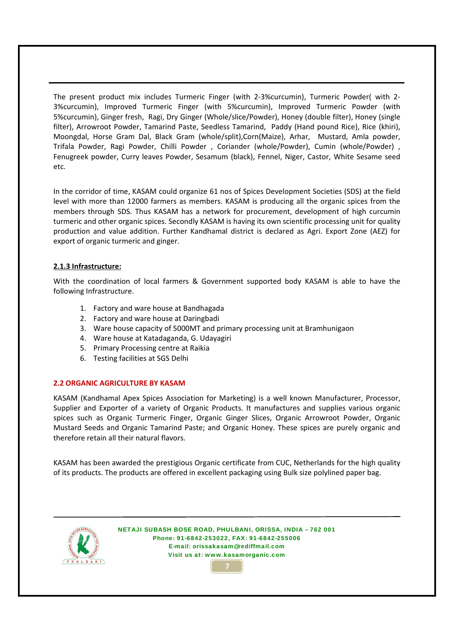The present product mix includes Turmeric Finger (with 2‐3%curcumin), Turmeric Powder( with 2‐ 3%curcumin), Improved Turmeric Finger (with 5%curcumin), Improved Turmeric Powder (with 5%curcumin), Ginger fresh, Ragi, Dry Ginger (Whole/slice/Powder), Honey (double filter), Honey (single filter), Arrowroot Powder, Tamarind Paste, Seedless Tamarind, Paddy (Hand pound Rice), Rice (khiri), Moongdal, Horse Gram Dal, Black Gram (whole/split),Corn(Maize), Arhar, Mustard, Amla powder, Trifala Powder, Ragi Powder, Chilli Powder , Coriander (whole/Powder), Cumin (whole/Powder) , Fenugreek powder, Curry leaves Powder, Sesamum (black), Fennel, Niger, Castor, White Sesame seed etc.

In the corridor of time, KASAM could organize 61 nos of Spices Development Societies (SDS) at the field level with more than 12000 farmers as members. KASAM is producing all the organic spices from the members through SDS. Thus KASAM has a network for procurement, development of high curcumin turmeric and other organic spices. Secondly KASAM is having its own scientific processing unit for quality production and value addition. Further Kandhamal district is declared as Agri. Export Zone (AEZ) for export of organic turmeric and ginger.

#### **2.1.3 Infrastructure:**

With the coordination of local farmers & Government supported body KASAM is able to have the following Infrastructure.

- 1. Factory and ware house at Bandhagada
- 2. Factory and ware house at Daringbadi
- 3. Ware house capacity of 5000MT and primary processing unit at Bramhunigaon
- 4. Ware house at Katadaganda, G. Udayagiri
- 5. Primary Processing centre at Raikia
- 6. Testing facilities at SGS Delhi

#### **2.2 ORGANIC AGRICULTURE BY KASAM**

KASAM (Kandhamal Apex Spices Association for Marketing) is a well known Manufacturer, Processor, Supplier and Exporter of a variety of Organic Products. It manufactures and supplies various organic spices such as Organic Turmeric Finger, Organic Ginger Slices, Organic Arrowroot Powder, Organic Mustard Seeds and Organic Tamarind Paste; and Organic Honey. These spices are purely organic and therefore retain all their natural flavors.

KASAM has been awarded the prestigious Organic certificate from CUC, Netherlands for the high quality of its products. The products are offered in excellent packaging using Bulk size polylined paper bag.

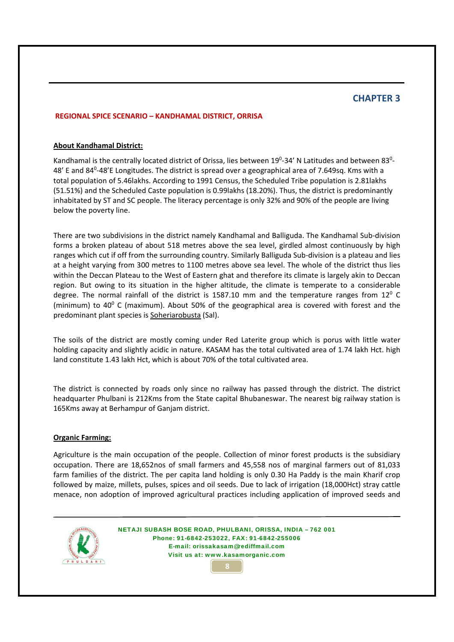#### **REGIONAL SPICE SCENARIO – KANDHAMAL DISTRICT, ORRISA**

#### **About Kandhamal District:**

Kandhamal is the centrally located district of Orissa, lies between 19<sup>0</sup>-34' N Latitudes and between 83<sup>0</sup>-48' E and 84<sup>0</sup>-48'E Longitudes. The district is spread over a geographical area of 7.649sq. Kms with a total population of 5.46lakhs. According to 1991 Census, the Scheduled Tribe population is 2.81lakhs (51.51%) and the Scheduled Caste population is 0.99lakhs (18.20%). Thus, the district is predominantly inhabitated by ST and SC people. The literacy percentage is only 32% and 90% of the people are living below the poverty line.

There are two subdivisions in the district namely Kandhamal and Balliguda. The Kandhamal Sub‐division forms a broken plateau of about 518 metres above the sea level, girdled almost continuously by high ranges which cut if off from the surrounding country. Similarly Balliguda Sub-division is a plateau and lies at a height varying from 300 metres to 1100 metres above sea level. The whole of the district thus lies within the Deccan Plateau to the West of Eastern ghat and therefore its climate is largely akin to Deccan region. But owing to its situation in the higher altitude, the climate is temperate to a considerable degree. The normal rainfall of the district is 1587.10 mm and the temperature ranges from  $12^{\circ}$  C (minimum) to  $40^{\circ}$  C (maximum). About 50% of the geographical area is covered with forest and the predominant plant species is Soheriarobusta (Sal).

The soils of the district are mostly coming under Red Laterite group which is porus with little water holding capacity and slightly acidic in nature. KASAM has the total cultivated area of 1.74 lakh Hct. high land constitute 1.43 lakh Hct, which is about 70% of the total cultivated area.

The district is connected by roads only since no railway has passed through the district. The district headquarter Phulbani is 212Kms from the State capital Bhubaneswar. The nearest big railway station is 165Kms away at Berhampur of Ganjam district.

#### **Organic Farming:**

Agriculture is the main occupation of the people. Collection of minor forest products is the subsidiary occupation. There are 18,652nos of small farmers and 45,558 nos of marginal farmers out of 81,033 farm families of the district. The per capita land holding is only 0.30 Ha Paddy is the main Kharif crop followed by maize, millets, pulses, spices and oil seeds. Due to lack of irrigation (18,000Hct) stray cattle menace, non adoption of improved agricultural practices including application of improved seeds and



NETAJI SUBASH BOSE ROAD, PHULBANI, ORISSA, INDIA – 762 001 Phone: 91-6842-253022, FAX: 91-6842-255006 E-mail: orissakasam@rediffmail.com Visit us at: www.kasamorganic.com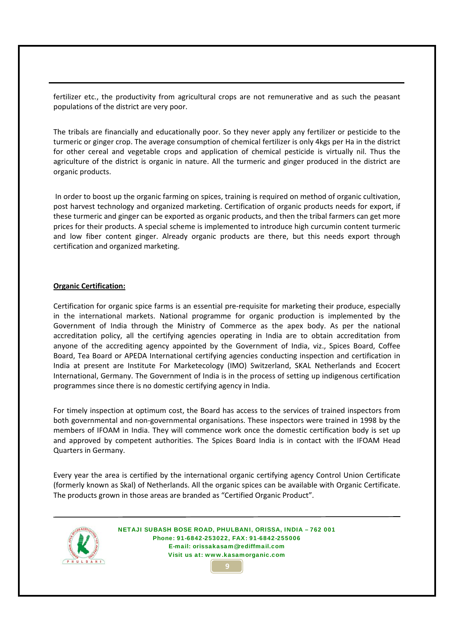fertilizer etc., the productivity from agricultural crops are not remunerative and as such the peasant populations of the district are very poor.

The tribals are financially and educationally poor. So they never apply any fertilizer or pesticide to the turmeric or ginger crop. The average consumption of chemical fertilizer is only 4kgs per Ha in the district for other cereal and vegetable crops and application of chemical pesticide is virtually nil. Thus the agriculture of the district is organic in nature. All the turmeric and ginger produced in the district are organic products.

In order to boost up the organic farming on spices, training is required on method of organic cultivation, post harvest technology and organized marketing. Certification of organic products needs for export, if these turmeric and ginger can be exported as organic products, and then the tribal farmers can get more prices for their products. A special scheme is implemented to introduce high curcumin content turmeric and low fiber content ginger. Already organic products are there, but this needs export through certification and organized marketing.

#### **Organic Certification:**

Certification for organic spice farms is an essential pre‐requisite for marketing their produce, especially in the international markets. National programme for organic production is implemented by the Government of India through the Ministry of Commerce as the apex body. As per the national accreditation policy, all the certifying agencies operating in India are to obtain accreditation from anyone of the accrediting agency appointed by the Government of India, viz., Spices Board, Coffee Board, Tea Board or APEDA International certifying agencies conducting inspection and certification in India at present are Institute For Marketecology (IMO) Switzerland, SKAL Netherlands and Ecocert International, Germany. The Government of India is in the process of setting up indigenous certification programmes since there is no domestic certifying agency in India.

For timely inspection at optimum cost, the Board has access to the services of trained inspectors from both governmental and non‐governmental organisations. These inspectors were trained in 1998 by the members of IFOAM in India. They will commence work once the domestic certification body is set up and approved by competent authorities. The Spices Board India is in contact with the IFOAM Head Quarters in Germany.

Every year the area is certified by the international organic certifying agency Control Union Certificate (formerly known as Skal) of Netherlands. All the organic spices can be available with Organic Certificate. The products grown in those areas are branded as "Certified Organic Product".

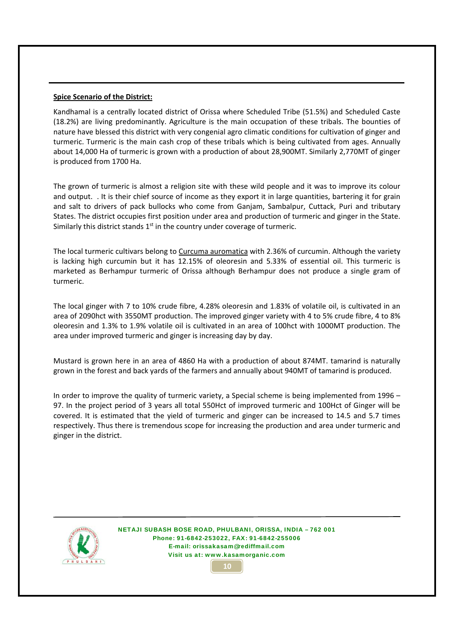#### **Spice Scenario of the District:**

Kandhamal is a centrally located district of Orissa where Scheduled Tribe (51.5%) and Scheduled Caste (18.2%) are living predominantly. Agriculture is the main occupation of these tribals. The bounties of nature have blessed this district with very congenial agro climatic conditions for cultivation of ginger and turmeric. Turmeric is the main cash crop of these tribals which is being cultivated from ages. Annually about 14,000 Ha of turmeric is grown with a production of about 28,900MT. Similarly 2,770MT of ginger is produced from 1700 Ha.

The grown of turmeric is almost a religion site with these wild people and it was to improve its colour and output. . It is their chief source of income as they export it in large quantities, bartering it for grain and salt to drivers of pack bullocks who come from Ganjam, Sambalpur, Cuttack, Puri and tributary States. The district occupies first position under area and production of turmeric and ginger in the State. Similarly this district stands  $1<sup>st</sup>$  in the country under coverage of turmeric.

The local turmeric cultivars belong to Curcuma auromatica with 2.36% of curcumin. Although the variety is lacking high curcumin but it has 12.15% of oleoresin and 5.33% of essential oil. This turmeric is marketed as Berhampur turmeric of Orissa although Berhampur does not produce a single gram of turmeric.

The local ginger with 7 to 10% crude fibre, 4.28% oleoresin and 1.83% of volatile oil, is cultivated in an area of 2090hct with 3550MT production. The improved ginger variety with 4 to 5% crude fibre, 4 to 8% oleoresin and 1.3% to 1.9% volatile oil is cultivated in an area of 100hct with 1000MT production. The area under improved turmeric and ginger is increasing day by day.

Mustard is grown here in an area of 4860 Ha with a production of about 874MT. tamarind is naturally grown in the forest and back yards of the farmers and annually about 940MT of tamarind is produced.

In order to improve the quality of turmeric variety, a Special scheme is being implemented from 1996 – 97. In the project period of 3 years all total 550Hct of improved turmeric and 100Hct of Ginger will be covered. It is estimated that the yield of turmeric and ginger can be increased to 14.5 and 5.7 times respectively. Thus there is tremendous scope for increasing the production and area under turmeric and ginger in the district.



NETAJI SUBASH BOSE ROAD, PHULBANI, ORISSA, INDIA – 762 001 Phone: 91-6842-253022, FAX: 91-6842-255006 E-mail: orissakasam@rediffmail.com Visit us at: www.kasamorganic.com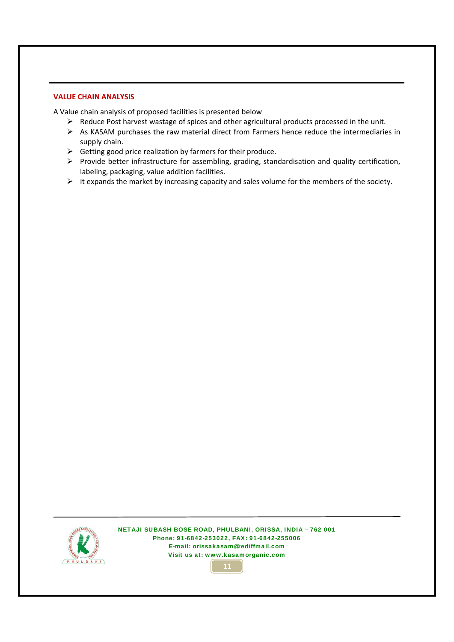#### **VALUE CHAIN ANALYSIS**

A Value chain analysis of proposed facilities is presented below

- ¾ Reduce Post harvest wastage of spices and other agricultural products processed in the unit.
- $\triangleright$  As KASAM purchases the raw material direct from Farmers hence reduce the intermediaries in supply chain.
- $\triangleright$  Getting good price realization by farmers for their produce.
- ¾ Provide better infrastructure for assembling, grading, standardisation and quality certification, labeling, packaging, value addition facilities.
- $\triangleright$  It expands the market by increasing capacity and sales volume for the members of the society.



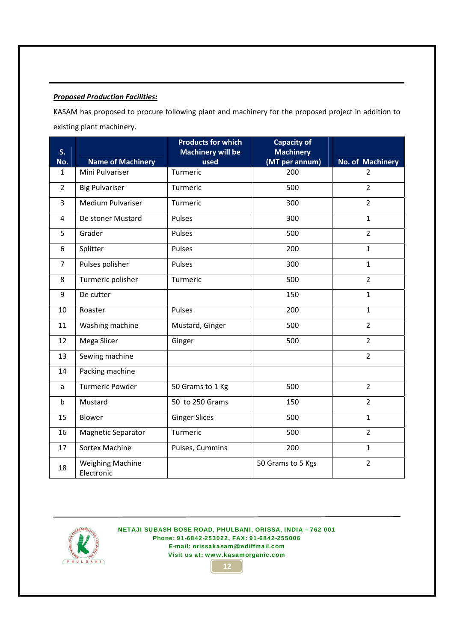### *Proposed Production Facilities:*

KASAM has proposed to procure following plant and machinery for the proposed project in addition to existing plant machinery.

| S.             |                                       | <b>Products for which</b><br><b>Machinery will be</b> | <b>Capacity of</b><br><b>Machinery</b> |                  |
|----------------|---------------------------------------|-------------------------------------------------------|----------------------------------------|------------------|
| No.            | <b>Name of Machinery</b>              | used                                                  | (MT per annum)                         | No. of Machinery |
| 1              | Mini Pulvariser                       | Turmeric                                              | 200                                    | $\overline{2}$   |
| $\overline{2}$ | <b>Big Pulvariser</b>                 | Turmeric                                              | 500                                    | $\overline{2}$   |
| 3              | Medium Pulvariser                     | Turmeric                                              | 300                                    | $\overline{2}$   |
| 4              | De stoner Mustard                     | Pulses                                                | 300                                    | $\mathbf{1}$     |
| 5              | Grader                                | Pulses                                                | 500                                    | $\overline{2}$   |
| 6              | Splitter                              | Pulses                                                | 200                                    | $\mathbf{1}$     |
| $\overline{7}$ | Pulses polisher                       | Pulses                                                | 300                                    | $\mathbf{1}$     |
| 8              | Turmeric polisher                     | Turmeric                                              | 500                                    | $\overline{2}$   |
| 9              | De cutter                             |                                                       | 150                                    | $\mathbf{1}$     |
| 10             | Roaster                               | Pulses                                                | 200                                    | $\mathbf{1}$     |
| 11             | Washing machine                       | Mustard, Ginger                                       | 500                                    | $\overline{2}$   |
| 12             | Mega Slicer                           | Ginger                                                | 500                                    | $\overline{2}$   |
| 13             | Sewing machine                        |                                                       |                                        | $\overline{2}$   |
| 14             | Packing machine                       |                                                       |                                        |                  |
| a              | <b>Turmeric Powder</b>                | 50 Grams to 1 Kg                                      | 500                                    | $\overline{2}$   |
| b              | Mustard                               | 50 to 250 Grams                                       | 150                                    | $\overline{2}$   |
| 15             | Blower                                | <b>Ginger Slices</b>                                  | 500                                    | $\mathbf{1}$     |
| 16             | <b>Magnetic Separator</b>             | Turmeric                                              | 500                                    | $\overline{2}$   |
| 17             | Sortex Machine                        | Pulses, Cummins                                       | 200                                    | $\mathbf{1}$     |
| 18             | <b>Weighing Machine</b><br>Electronic |                                                       | 50 Grams to 5 Kgs                      | $\overline{2}$   |



NETAJI SUBASH BOSE ROAD, PHULBANI, ORISSA, INDIA – 762 001 Phone: 91-6842-253022, FAX: 91-6842-255006 E-mail: orissakasam@rediffmail.com Visit us at: www.kasamorganic.com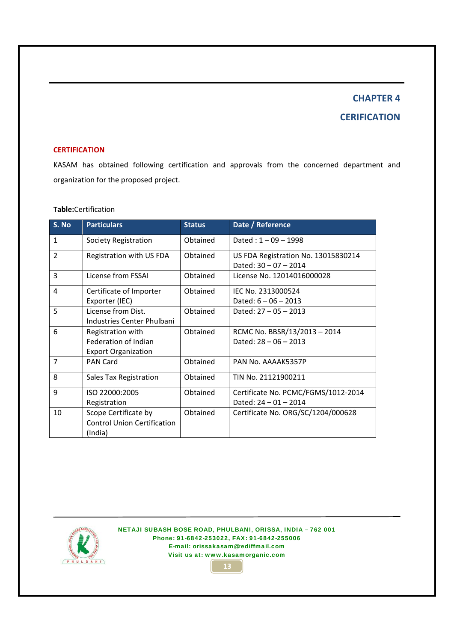## **CHAPTER 4 CERIFICATION**

#### **CERTIFICATION**

KASAM has obtained following certification and approvals from the concerned department and organization for the proposed project.

### **Table:**Certification

| S. No          | <b>Particulars</b>                 | <b>Status</b> | Date / Reference                                               |
|----------------|------------------------------------|---------------|----------------------------------------------------------------|
| $\mathbf{1}$   | Society Registration               | Obtained      | Dated: $1 - 09 - 1998$                                         |
| $\overline{2}$ | Registration with US FDA           | Obtained      | US FDA Registration No. 13015830214<br>Dated: $30 - 07 - 2014$ |
| 3              | License from FSSAI                 | Obtained      | License No. 12014016000028                                     |
| 4              | Certificate of Importer            | Obtained      | IEC No. 2313000524                                             |
|                | Exporter (IEC)                     |               | Dated: $6 - 06 - 2013$                                         |
| 5              | License from Dist.                 | Obtained      | Dated: $27 - 05 - 2013$                                        |
|                | Industries Center Phulbani         |               |                                                                |
| 6              | Registration with                  | Obtained      | RCMC No. BBSR/13/2013-2014                                     |
|                | Federation of Indian               |               | Dated: $28 - 06 - 2013$                                        |
|                | <b>Export Organization</b>         |               |                                                                |
| 7              | <b>PAN Card</b>                    | Obtained      | PAN No. AAAAK5357P                                             |
| 8              | Sales Tax Registration             | Obtained      | TIN No. 21121900211                                            |
| 9              | ISO 22000:2005                     | Obtained      | Certificate No. PCMC/FGMS/1012-2014                            |
|                | Registration                       |               | Dated: $24 - 01 - 2014$                                        |
| 10             | Scope Certificate by               | Obtained      | Certificate No. ORG/SC/1204/000628                             |
|                | <b>Control Union Certification</b> |               |                                                                |
|                | (India)                            |               |                                                                |



NETAJI SUBASH BOSE ROAD, PHULBANI, ORISSA, INDIA – 762 001 Phone: 91-6842-253022, FAX: 91-6842-255006 E-mail: orissakasam@rediffmail.com Visit us at: www.kasamorganic.com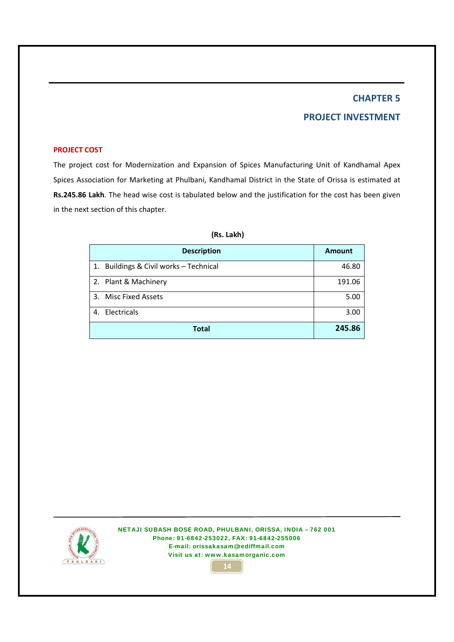## **PROJECT INVESTMENT**

#### **PROJECT COST**

The project cost for Modernization and Expansion of Spices Manufacturing Unit of Kandhamal Apex Spices Association for Marketing at Phulbani, Kandhamal District in the State of Orissa is estimated at **Rs.245.86 Lakh**. The head wise cost is tabulated below and the justification for the cost has been given in the next section of this chapter.

|    | <b>Description</b>                     | <b>Amount</b> |
|----|----------------------------------------|---------------|
|    | 1. Buildings & Civil works - Technical | 46.80         |
|    | 2. Plant & Machinery                   | 191.06        |
|    | 3. Misc Fixed Assets                   | 5.00          |
| 4. | Electricals                            | 3.00          |
|    | Total                                  | 245.86        |

#### **(Rs. Lakh)**



NETAJI SUBASH BOSE ROAD, PHULBANI, ORISSA, INDIA – 762 001 Phone: 91-6842-253022, FAX: 91-6842-255006 E-mail: orissakasam@rediffmail.com Visit us at: www.kasamorganic.com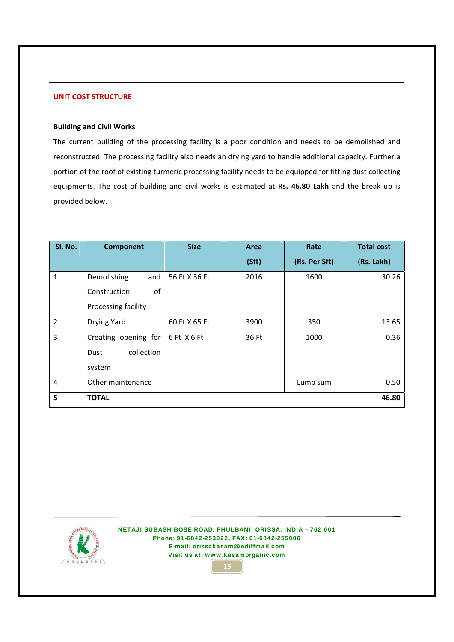#### **UNIT COST STRUCTURE**

#### **Building and Civil Works**

The current building of the processing facility is a poor condition and needs to be demolished and reconstructed. The processing facility also needs an drying yard to handle additional capacity. Further a portion of the roof of existing turmeric processing facility needs to be equipped for fitting dust collecting equipments. The cost of building and civil works is estimated at **Rs. 46.80 Lakh** and the break up is provided below.

| SI. No.        | <b>Component</b>     | <b>Size</b>   | Area  | Rate          | <b>Total cost</b> |
|----------------|----------------------|---------------|-------|---------------|-------------------|
|                |                      |               | (Sft) | (Rs. Per Sft) | (Rs. Lakh)        |
| 1              | Demolishing<br>and   | 56 Ft X 36 Ft | 2016  | 1600          | 30.26             |
|                | οf<br>Construction   |               |       |               |                   |
|                | Processing facility  |               |       |               |                   |
| $\overline{2}$ | Drying Yard          | 60 Ft X 65 Ft | 3900  | 350           | 13.65             |
| 3              | Creating opening for | 6 Ft X 6 Ft   | 36 Ft | 1000          | 0.36              |
|                | collection<br>Dust   |               |       |               |                   |
|                | system               |               |       |               |                   |
| $\overline{4}$ | Other maintenance    |               |       | Lump sum      | 0.50              |
| 5              | <b>TOTAL</b>         |               |       |               | 46.80             |



NETAJI SUBASH BOSE ROAD, PHULBANI, ORISSA, INDIA – 762 001 Phone: 91-6842-253022, FAX: 91-6842-255006 E-mail: orissakasam@rediffmail.com Visit us at: www.kasamorganic.com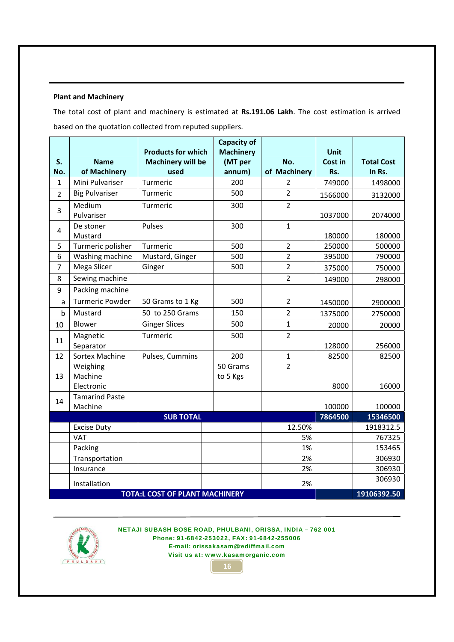#### **Plant and Machinery**

The total cost of plant and machinery is estimated at **Rs.191.06 Lakh**. The cost estimation is arrived based on the quotation collected from reputed suppliers.

|                |                                   | <b>Capacity of</b><br><b>Products for which</b> |                             |                |                        |                   |
|----------------|-----------------------------------|-------------------------------------------------|-----------------------------|----------------|------------------------|-------------------|
| S.             | <b>Name</b>                       | <b>Machinery will be</b>                        | <b>Machinery</b><br>(MT per | No.            | <b>Unit</b><br>Cost in | <b>Total Cost</b> |
| No.            | of Machinery                      | used                                            | annum)                      | of Machinery   | Rs.                    | In Rs.            |
| $\mathbf{1}$   | Mini Pulvariser                   | Turmeric                                        | 200                         | 2              | 749000                 | 1498000           |
| $\overline{2}$ | <b>Big Pulvariser</b>             | Turmeric                                        | 500                         | $\overline{2}$ | 1566000                | 3132000           |
| 3              | Medium<br>Pulvariser              | Turmeric                                        | 300                         | $\overline{2}$ | 1037000                | 2074000           |
| $\overline{4}$ | De stoner<br>Mustard              | Pulses                                          | 300                         | $\mathbf 1$    | 180000                 | 180000            |
| 5              | Turmeric polisher                 | Turmeric                                        | 500                         | $\overline{2}$ | 250000                 | 500000            |
| 6              | Washing machine                   | Mustard, Ginger                                 | 500                         | $\overline{2}$ | 395000                 | 790000            |
| $\overline{7}$ | Mega Slicer                       | Ginger                                          | 500                         | $\overline{2}$ | 375000                 | 750000            |
| 8              | Sewing machine                    |                                                 |                             | $\overline{2}$ | 149000                 | 298000            |
| 9              | Packing machine                   |                                                 |                             |                |                        |                   |
| a              | <b>Turmeric Powder</b>            | 50 Grams to 1 Kg                                | 500                         | $\overline{2}$ | 1450000                | 2900000           |
| $\mathsf b$    | Mustard                           | 50 to 250 Grams                                 | 150                         | $\overline{2}$ | 1375000                | 2750000           |
| 10             | Blower                            | <b>Ginger Slices</b>                            | 500                         | $\mathbf{1}$   | 20000                  | 20000             |
| 11             | Magnetic<br>Separator             | Turmeric                                        | 500                         | $\overline{2}$ | 128000                 | 256000            |
| 12             | Sortex Machine                    | Pulses, Cummins                                 | 200                         | $\mathbf{1}$   | 82500                  | 82500             |
| 13             | Weighing<br>Machine<br>Electronic |                                                 | 50 Grams<br>to 5 Kgs        | $\overline{2}$ | 8000                   | 16000             |
| 14             | <b>Tamarind Paste</b><br>Machine  |                                                 |                             |                | 100000                 | 100000            |
|                |                                   | <b>SUB TOTAL</b>                                |                             |                | 7864500                | 15346500          |
|                | <b>Excise Duty</b>                |                                                 |                             | 12.50%         |                        | 1918312.5         |
|                | <b>VAT</b>                        |                                                 |                             | 5%             |                        | 767325            |
|                | Packing                           |                                                 |                             | 1%             |                        | 153465            |
|                | Transportation                    |                                                 |                             | 2%             |                        | 306930            |
|                | Insurance                         |                                                 |                             | 2%             |                        | 306930            |
|                | Installation                      | <b>TOTA:L COST OF PLANT MACHINERY</b>           |                             | 2%             |                        | 306930            |
|                |                                   |                                                 | 19106392.50                 |                |                        |                   |

NETAJI SUBASH BOSE ROAD, PHULBANI, ORISSA, INDIA – 762 001 Phone: 91-6842-253022, FAX: 91-6842-255006 E-mail: orissakasam@rediffmail.com Visit us at: www.kasamorganic.com

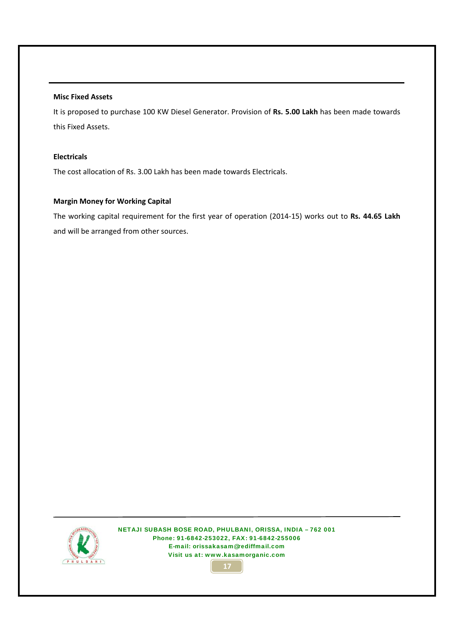#### **Misc Fixed Assets**

It is proposed to purchase 100 KW Diesel Generator. Provision of **Rs. 5.00 Lakh** has been made towards this Fixed Assets.

#### **Electricals**

The cost allocation of Rs. 3.00 Lakh has been made towards Electricals.

#### **Margin Money for Working Capital**

The working capital requirement for the first year of operation (2014‐15) works out to **Rs. 44.65 Lakh** and will be arranged from other sources.



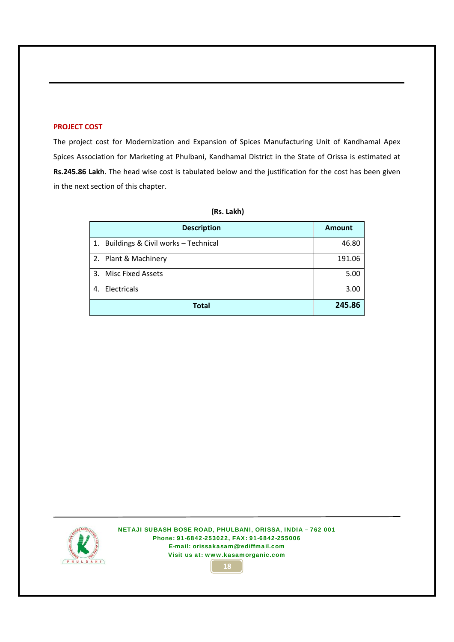#### **PROJECT COST**

The project cost for Modernization and Expansion of Spices Manufacturing Unit of Kandhamal Apex Spices Association for Marketing at Phulbani, Kandhamal District in the State of Orissa is estimated at **Rs.245.86 Lakh**. The head wise cost is tabulated below and the justification for the cost has been given in the next section of this chapter.

|    | <b>Description</b>                  | <b>Amount</b> |
|----|-------------------------------------|---------------|
| 1. | Buildings & Civil works - Technical | 46.80         |
|    | 2. Plant & Machinery                | 191.06        |
|    | 3. Misc Fixed Assets                | 5.00          |
| 4. | Electricals                         | 3.00          |
|    | <b>Total</b>                        | 245.86        |

#### **(Rs. Lakh)**



NETAJI SUBASH BOSE ROAD, PHULBANI, ORISSA, INDIA – 762 001 Phone: 91-6842-253022, FAX: 91-6842-255006 E-mail: orissakasam@rediffmail.com Visit us at: www.kasamorganic.com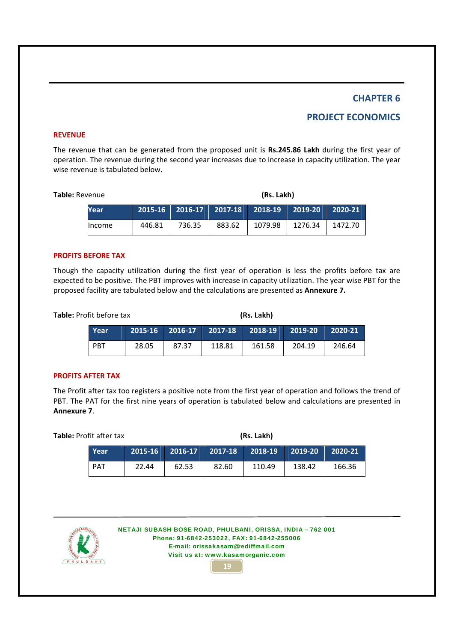## **PROJECT ECONOMICS**

#### **REVENUE**

The revenue that can be generated from the proposed unit is **Rs.245.86 Lakh** during the first year of operation. The revenue during the second year increases due to increase in capacity utilization. The year wise revenue is tabulated below.

| <b>Table:</b> Revenue |               |        |        | (Rs. Lakh)                               |         |                       |         |  |
|-----------------------|---------------|--------|--------|------------------------------------------|---------|-----------------------|---------|--|
|                       | Year          |        |        | 2015-16    2016-17    2017-18    2018-19 |         | $\mid$ 2019-20 $\mid$ | 2020-21 |  |
|                       | <b>Income</b> | 446.81 | 736.35 | 883.62                                   | 1079.98 | 1276.34               | 1472.70 |  |

#### **PROFITS BEFORE TAX**

Though the capacity utilization during the first year of operation is less the profits before tax are expected to be positive. The PBT improves with increase in capacity utilization. The year wise PBT for the proposed facility are tabulated below and the calculations are presented as **Annexure 7.**

| Table: Profit before tax |       | (Rs. Lakh) |                                 |        |           |         |  |
|--------------------------|-------|------------|---------------------------------|--------|-----------|---------|--|
| Year                     |       |            | 2015-16 2016-17 2017-18 2018-19 |        | $2019-20$ | 2020-21 |  |
| <b>PBT</b>               | 28.05 | 87.37      | 118.81                          | 161.58 | 204.19    | 246.64  |  |

#### **PROFITS AFTER TAX**

The Profit after tax too registers a positive note from the first year of operation and follows the trend of PBT. The PAT for the first nine years of operation is tabulated below and calculations are presented in **Annexure 7**.

| Table: Profit after tax |            |       | (Rs. Lakh)              |       |         |           |         |  |
|-------------------------|------------|-------|-------------------------|-------|---------|-----------|---------|--|
|                         | Year       |       | 2015-16 2016-17 2017-18 |       | 2018-19 | $2019-20$ | 2020-21 |  |
|                         | <b>PAT</b> | 22.44 | 62.53                   | 82.60 | 110.49  | 138.42    | 166.36  |  |



NETAJI SUBASH BOSE ROAD, PHULBANI, ORISSA, INDIA – 762 001 Phone: 91-6842-253022, FAX: 91-6842-255006 E-mail: orissakasam@rediffmail.com Visit us at: www.kasamorganic.com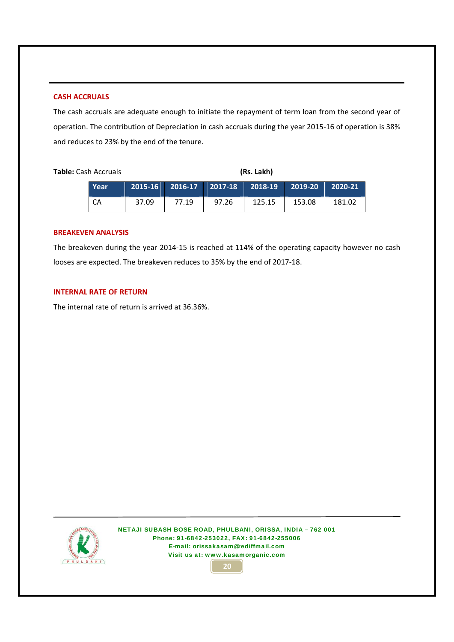#### **CASH ACCRUALS**

The cash accruals are adequate enough to initiate the repayment of term loan from the second year of operation. The contribution of Depreciation in cash accruals during the year 2015‐16 of operation is 38% and reduces to 23% by the end of the tenure.

**Table:** Cash Accruals **(Rs. Lakh)**

| Year |       |       | 2015-16   2016-17   2017-18   2018-19   2019-20   2020-21 |        |        |        |
|------|-------|-------|-----------------------------------------------------------|--------|--------|--------|
| l CA | 37.09 | 77.19 | 97.26                                                     | 125.15 | 153.08 | 181.02 |

#### **BREAKEVEN ANALYSIS**

The breakeven during the year 2014‐15 is reached at 114% of the operating capacity however no cash looses are expected. The breakeven reduces to 35% by the end of 2017‐18.

#### **INTERNAL RATE OF RETURN**

The internal rate of return is arrived at 36.36%. 



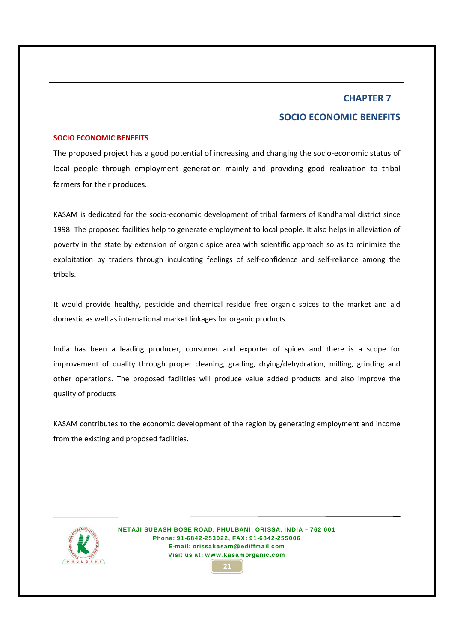## **CHAPTER 7 SOCIO ECONOMIC BENEFITS**

#### **SOCIO ECONOMIC BENEFITS**

The proposed project has a good potential of increasing and changing the socio‐economic status of local people through employment generation mainly and providing good realization to tribal farmers for their produces.

KASAM is dedicated for the socio‐economic development of tribal farmers of Kandhamal district since 1998. The proposed facilities help to generate employment to local people. It also helps in alleviation of poverty in the state by extension of organic spice area with scientific approach so as to minimize the exploitation by traders through inculcating feelings of self-confidence and self-reliance among the tribals.

It would provide healthy, pesticide and chemical residue free organic spices to the market and aid domestic as well as international market linkages for organic products.

India has been a leading producer, consumer and exporter of spices and there is a scope for improvement of quality through proper cleaning, grading, drying/dehydration, milling, grinding and other operations. The proposed facilities will produce value added products and also improve the quality of products

KASAM contributes to the economic development of the region by generating employment and income from the existing and proposed facilities.



NETAJI SUBASH BOSE ROAD, PHULBANI, ORISSA, INDIA – 762 001 Phone: 91-6842-253022, FAX: 91-6842-255006 E-mail: orissakasam@rediffmail.com Visit us at: www.kasamorganic.com